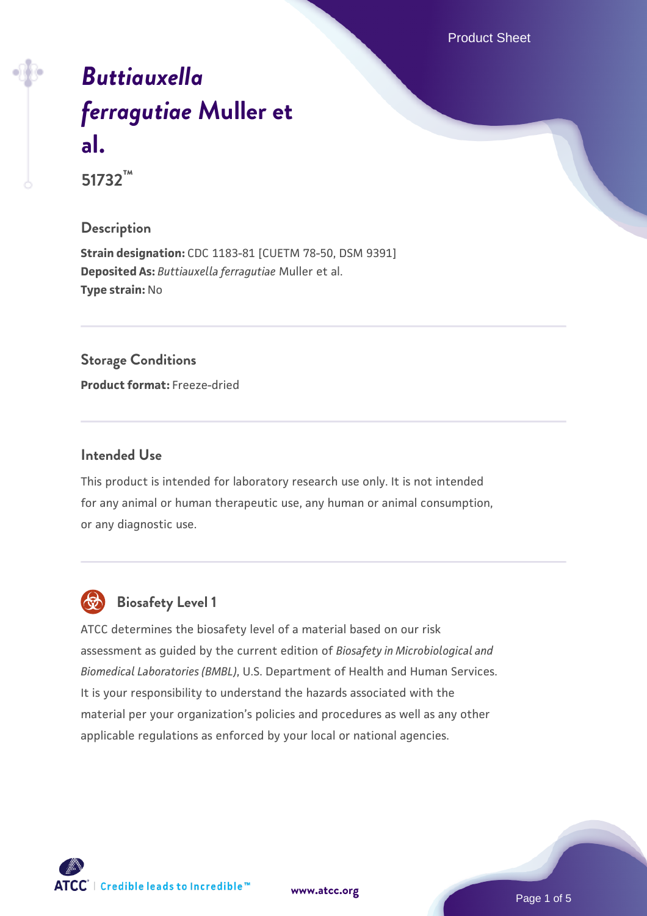Product Sheet

# *[Buttiauxella](https://www.atcc.org/products/51732) [ferragutiae](https://www.atcc.org/products/51732)* **[Muller et](https://www.atcc.org/products/51732) [al.](https://www.atcc.org/products/51732)**

**51732™**

# **Description**

**Strain designation:** CDC 1183-81 [CUETM 78-50, DSM 9391] **Deposited As:** *Buttiauxella ferragutiae* Muller et al. **Type strain:** No

# **Storage Conditions**

**Product format:** Freeze-dried

#### **Intended Use**

This product is intended for laboratory research use only. It is not intended for any animal or human therapeutic use, any human or animal consumption, or any diagnostic use.



# **Biosafety Level 1**

ATCC determines the biosafety level of a material based on our risk assessment as guided by the current edition of *Biosafety in Microbiological and Biomedical Laboratories (BMBL)*, U.S. Department of Health and Human Services. It is your responsibility to understand the hazards associated with the material per your organization's policies and procedures as well as any other applicable regulations as enforced by your local or national agencies.

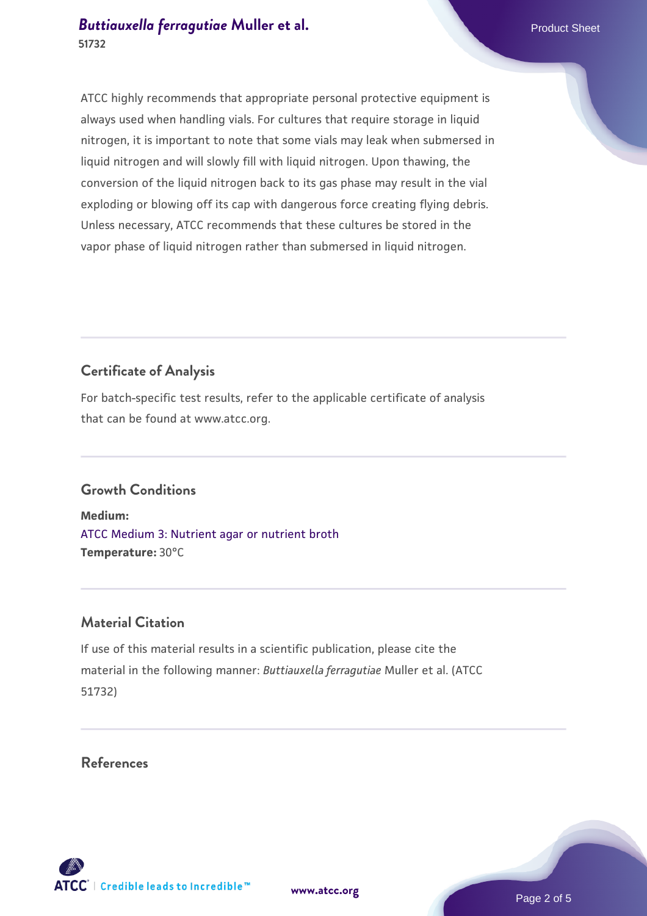# *[Buttiauxella ferragutiae](https://www.atcc.org/products/51732)* [Muller et al.](https://www.atcc.org/products/51732) **Product Sheet** Product Sheet **51732**

ATCC highly recommends that appropriate personal protective equipment is always used when handling vials. For cultures that require storage in liquid nitrogen, it is important to note that some vials may leak when submersed in liquid nitrogen and will slowly fill with liquid nitrogen. Upon thawing, the conversion of the liquid nitrogen back to its gas phase may result in the vial exploding or blowing off its cap with dangerous force creating flying debris. Unless necessary, ATCC recommends that these cultures be stored in the vapor phase of liquid nitrogen rather than submersed in liquid nitrogen.

# **Certificate of Analysis**

For batch-specific test results, refer to the applicable certificate of analysis that can be found at www.atcc.org.

# **Growth Conditions**

**Medium:**  [ATCC Medium 3: Nutrient agar or nutrient broth](https://www.atcc.org/-/media/product-assets/documents/microbial-media-formulations/3/atcc-medium-3.pdf?rev=7510837507e64d849c62a46b5b2197a1) **Temperature:** 30°C

# **Material Citation**

If use of this material results in a scientific publication, please cite the material in the following manner: *Buttiauxella ferragutiae* Muller et al. (ATCC 51732)

**References**



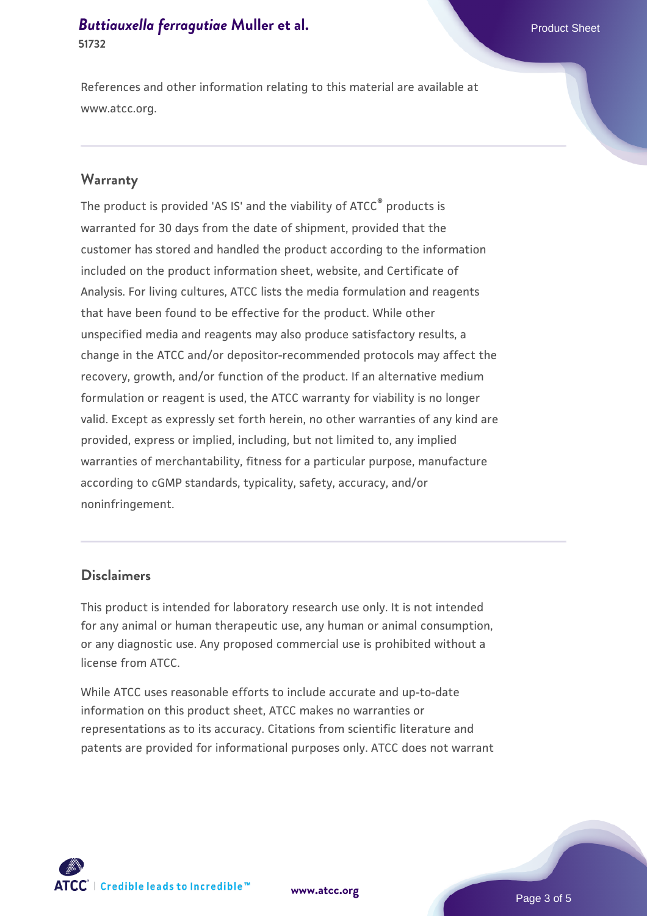#### *[Buttiauxella ferragutiae](https://www.atcc.org/products/51732)* [Muller et al.](https://www.atcc.org/products/51732) **Product Sheet** Product Sheet **51732**

References and other information relating to this material are available at www.atcc.org.

#### **Warranty**

The product is provided 'AS IS' and the viability of ATCC® products is warranted for 30 days from the date of shipment, provided that the customer has stored and handled the product according to the information included on the product information sheet, website, and Certificate of Analysis. For living cultures, ATCC lists the media formulation and reagents that have been found to be effective for the product. While other unspecified media and reagents may also produce satisfactory results, a change in the ATCC and/or depositor-recommended protocols may affect the recovery, growth, and/or function of the product. If an alternative medium formulation or reagent is used, the ATCC warranty for viability is no longer valid. Except as expressly set forth herein, no other warranties of any kind are provided, express or implied, including, but not limited to, any implied warranties of merchantability, fitness for a particular purpose, manufacture according to cGMP standards, typicality, safety, accuracy, and/or noninfringement.

#### **Disclaimers**

This product is intended for laboratory research use only. It is not intended for any animal or human therapeutic use, any human or animal consumption, or any diagnostic use. Any proposed commercial use is prohibited without a license from ATCC.

While ATCC uses reasonable efforts to include accurate and up-to-date information on this product sheet, ATCC makes no warranties or representations as to its accuracy. Citations from scientific literature and patents are provided for informational purposes only. ATCC does not warrant





Page 3 of 5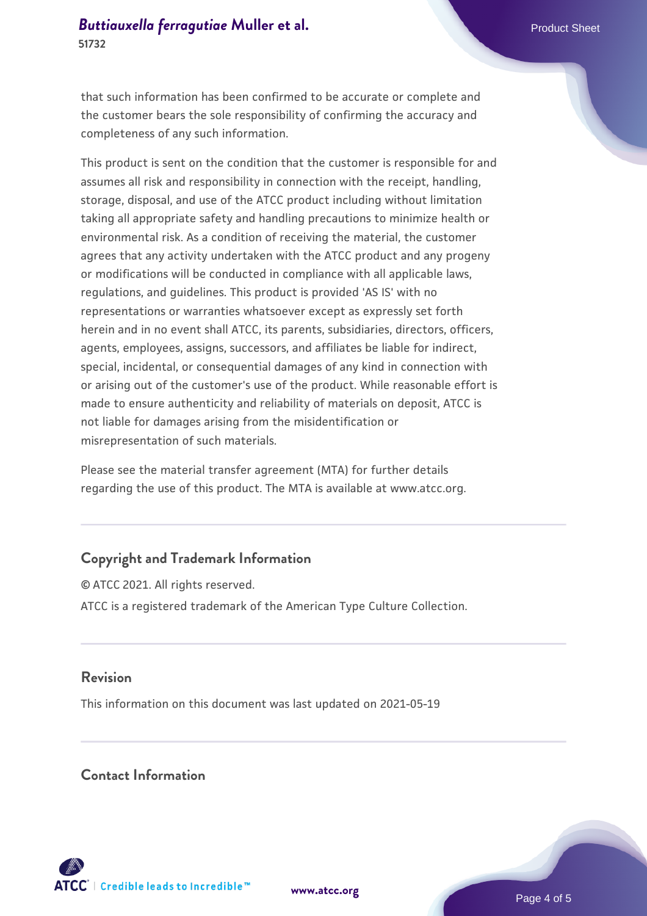#### *[Buttiauxella ferragutiae](https://www.atcc.org/products/51732)* [Muller et al.](https://www.atcc.org/products/51732) **Product Sheet** Product Sheet **51732**

that such information has been confirmed to be accurate or complete and the customer bears the sole responsibility of confirming the accuracy and completeness of any such information.

This product is sent on the condition that the customer is responsible for and assumes all risk and responsibility in connection with the receipt, handling, storage, disposal, and use of the ATCC product including without limitation taking all appropriate safety and handling precautions to minimize health or environmental risk. As a condition of receiving the material, the customer agrees that any activity undertaken with the ATCC product and any progeny or modifications will be conducted in compliance with all applicable laws, regulations, and guidelines. This product is provided 'AS IS' with no representations or warranties whatsoever except as expressly set forth herein and in no event shall ATCC, its parents, subsidiaries, directors, officers, agents, employees, assigns, successors, and affiliates be liable for indirect, special, incidental, or consequential damages of any kind in connection with or arising out of the customer's use of the product. While reasonable effort is made to ensure authenticity and reliability of materials on deposit, ATCC is not liable for damages arising from the misidentification or misrepresentation of such materials.

Please see the material transfer agreement (MTA) for further details regarding the use of this product. The MTA is available at www.atcc.org.

# **Copyright and Trademark Information**

© ATCC 2021. All rights reserved. ATCC is a registered trademark of the American Type Culture Collection.

#### **Revision**

This information on this document was last updated on 2021-05-19

#### **Contact Information**